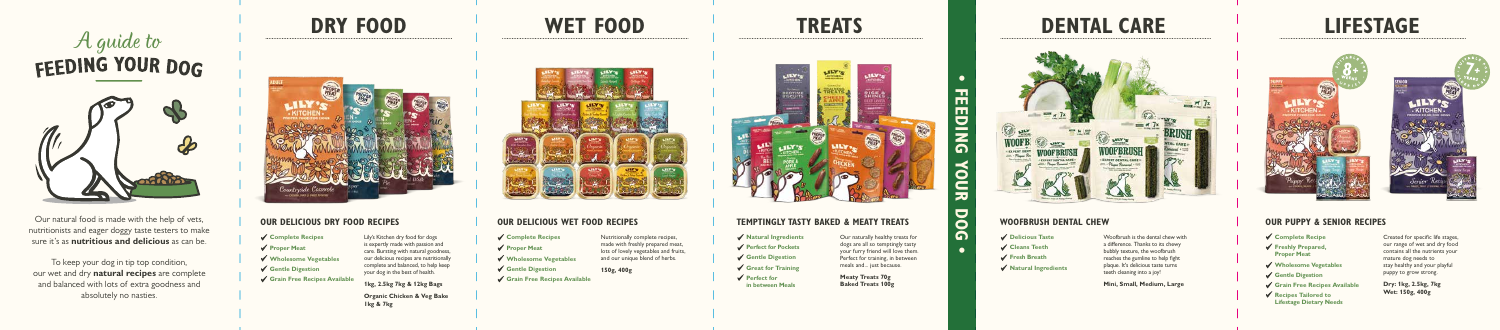#### **OUR DELICIOUS WET FOOD RECIPES**





### **TRE ATS**



# A guide to<br>FEEDING YOUR DOG



Our natural food is made with the help of vets, nutritionists and eager doggy taste testers to make sure it's as **nutritious and delicious** as can be.

To keep your dog in tip top condition, our wet and dry **natural recipes** are complete and balanced with lots of extra goodness and absolutely no nasties.

### **WET FOOD**



#### **TEMPTINGLY TASTY BAKED & MEATY TREATS**

## **DRY FOOD**



#### **OUR DELICIOUS DRY FOOD RECIPES**

Lily's Kitchen dry food for dogs is expertly made with passion and care. Bursting with natural goodness, our delicious recipes are nutritionally complete and balanced, to help keep your dog in the best of health.

**1kg, 2.5kg 7kg & 12kg Bags**

**Organic Chicken & Veg Bake 1kg & 7kg**

- **Complete Recipes**
- **Proper Meat**
- **Wholesome Vegetables**
- **Gentle Digestion**
- Grain Free Recipes Availab<sup>1</sup>

Nutritionally complete recipes, made with freshly prepared meat, lots of lovely vegetables and fruits, and our unique blend of herbs.

**150g, 400g**

Our naturally healthy treats for dogs are all so temptingly tasty your furry friend will love them. Perfect for training, in between meals and... just because.

**Meaty Treats 70g Baked Treats 100g**

#### **WOOFBRUSH DENTAL CHEW**

Woofbrush is the dental chew with a difference. Thanks to its chewy bubbly texture, the woofbrush reaches the gumline to help fight plaque. It's delicious taste turns teeth cleaning into a joy!

**Mini, Small, Medium, Large**

**Delicious Taste Cleans Teeth Fresh Breath**



- **Natural Ingredients**
- **Perfect for Pockets**
- **Gentle Digestion**
- **Great for Training**
- **Perfect for in between Meals**
- **Complete Recipes**
- **Proper Meat**
- **Wholesome Vegetables**
- **Gentle Digestion**

**Grain Free Recipes Available**

### **LIFESTAGE**

#### **OUR PUPPY & SENIOR RECIPES**

- **Complete Recipe Freshly Prepared, Proper Meat Wholesome Vegetables**
- **Gentle Digestion**
- **Grain Free Recipes Available**
- **Recipes Tailored to Lifestage Dietary Needs**

Created for specific life stages, our range of wet and dry food contains all the nutrients your mature dog needs to stay healthy and your playful puppy to grow strong.

**Dry: 1kg, 2.5kg, 7kg**

**Wet: 150g, 400g** 

**• FEEDING YOUR DOG •**

m,